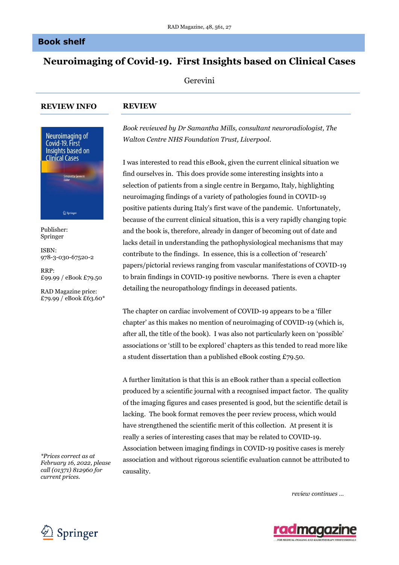## **Book shelf**

# **Neuroimaging of Covid-19. First Insights based on Clinical Cases**

Gerevini

### **REVIEW INFO**

*pUB*

### **REVIEW**



Publisher: Springer

ISBN: 978-3-030-67520-2

RRP: £99.99 / eBook £79.50

RAD Magazine price: £79.99 / eBook £63.60\*

*\*Prices correct as at February 16, 2022, please call (01371) 812960 for current prices.*

*Book reviewed by Dr Samantha Mills, consultant neuroradiologist, The Walton Centre NHS Foundation Trust, Liverpool.*

I was interested to read this eBook, given the current clinical situation we find ourselves in. This does provide some interesting insights into a selection of patients from a single centre in Bergamo, Italy, highlighting neuroimaging findings of a variety of pathologies found in COVID-19 positive patients during Italy's first wave of the pandemic. Unfortunately, because of the current clinical situation, this is a very rapidly changing topic and the book is, therefore, already in danger of becoming out of date and lacks detail in understanding the pathophysiological mechanisms that may contribute to the findings. In essence, this is a collection of 'research' papers/pictorial reviews ranging from vascular manifestations of COVID-19 to brain findings in COVID-19 positive newborns. There is even a chapter detailing the neuropathology findings in deceased patients.

The chapter on cardiac involvement of COVID-19 appears to be a 'filler chapter' as this makes no mention of neuroimaging of COVID-19 (which is, after all, the title of the book). I was also not particularly keen on 'possible' associations or 'still to be explored' chapters as this tended to read more like a student dissertation than a published eBook costing £79.50.

A further limitation is that this is an eBook rather than a special collection produced by a scientific journal with a recognised impact factor. The quality of the imaging figures and cases presented is good, but the scientific detail is lacking. The book format removes the peer review process, which would have strengthened the scientific merit of this collection. At present it is really a series of interesting cases that may be related to COVID-19. Association between imaging findings in COVID-19 positive cases is merely association and without rigorous scientific evaluation cannot be attributed to causality.

*review continues …*